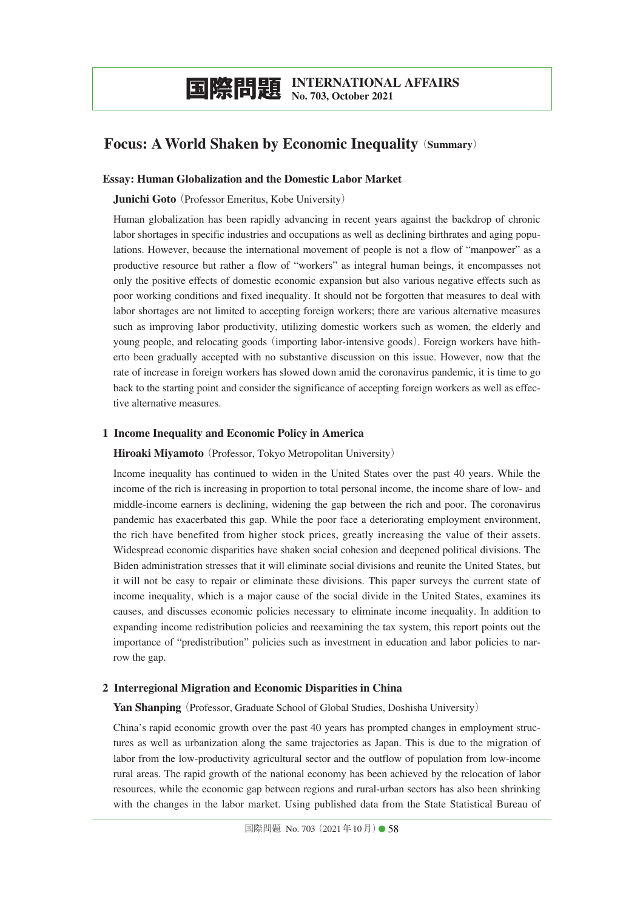# **Focus: A World Shaken by Economic Inequality**(**Summary**)

## **Essay: Human Globalization and the Domestic Labor Market**

#### **Junichi Goto** (Professor Emeritus, Kobe University)

Human globalization has been rapidly advancing in recent years against the backdrop of chronic labor shortages in specific industries and occupations as well as declining birthrates and aging populations. However, because the international movement of people is not a flow of "manpower" as a productive resource but rather a flow of "workers" as integral human beings, it encompasses not only the positive effects of domestic economic expansion but also various negative effects such as poor working conditions and fixed inequality. It should not be forgotten that measures to deal with labor shortages are not limited to accepting foreign workers; there are various alternative measures such as improving labor productivity, utilizing domestic workers such as women, the elderly and young people, and relocating goods(importing labor-intensive goods). Foreign workers have hitherto been gradually accepted with no substantive discussion on this issue. However, now that the rate of increase in foreign workers has slowed down amid the coronavirus pandemic, it is time to go back to the starting point and consider the significance of accepting foreign workers as well as effective alternative measures.

### **1 Income Inequality and Economic Policy in America**

#### **Hiroaki Miyamoto** (Professor, Tokyo Metropolitan University)

Income inequality has continued to widen in the United States over the past 40 years. While the income of the rich is increasing in proportion to total personal income, the income share of low- and middle-income earners is declining, widening the gap between the rich and poor. The coronavirus pandemic has exacerbated this gap. While the poor face a deteriorating employment environment, the rich have benefited from higher stock prices, greatly increasing the value of their assets. Widespread economic disparities have shaken social cohesion and deepened political divisions. The Biden administration stresses that it will eliminate social divisions and reunite the United States, but it will not be easy to repair or eliminate these divisions. This paper surveys the current state of income inequality, which is a major cause of the social divide in the United States, examines its causes, and discusses economic policies necessary to eliminate income inequality. In addition to expanding income redistribution policies and reexamining the tax system, this report points out the importance of "predistribution" policies such as investment in education and labor policies to narrow the gap.

#### **2 Interregional Migration and Economic Disparities in China**

## Yan Shanping (Professor, Graduate School of Global Studies, Doshisha University)

China's rapid economic growth over the past 40 years has prompted changes in employment structures as well as urbanization along the same trajectories as Japan. This is due to the migration of labor from the low-productivity agricultural sector and the outflow of population from low-income rural areas. The rapid growth of the national economy has been achieved by the relocation of labor resources, while the economic gap between regions and rural-urban sectors has also been shrinking with the changes in the labor market. Using published data from the State Statistical Bureau of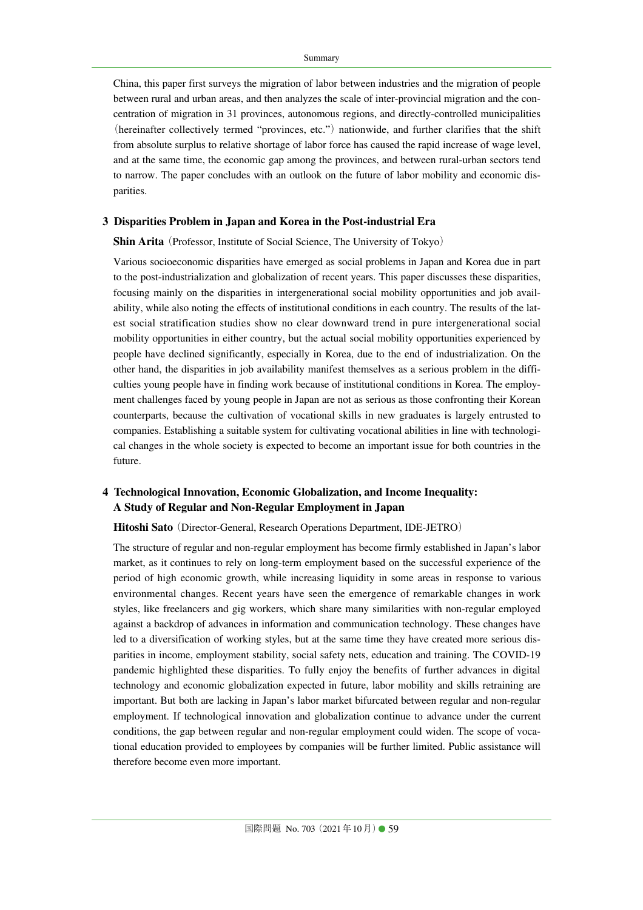China, this paper first surveys the migration of labor between industries and the migration of people between rural and urban areas, and then analyzes the scale of inter-provincial migration and the concentration of migration in 31 provinces, autonomous regions, and directly-controlled municipalities (hereinafter collectively termed "provinces, etc.") nationwide, and further clarifies that the shift from absolute surplus to relative shortage of labor force has caused the rapid increase of wage level, and at the same time, the economic gap among the provinces, and between rural-urban sectors tend to narrow. The paper concludes with an outlook on the future of labor mobility and economic disparities.

#### **3 Disparities Problem in Japan and Korea in the Post-industrial Era**

**Shin Arita** (Professor, Institute of Social Science, The University of Tokyo)

Various socioeconomic disparities have emerged as social problems in Japan and Korea due in part to the post-industrialization and globalization of recent years. This paper discusses these disparities, focusing mainly on the disparities in intergenerational social mobility opportunities and job availability, while also noting the effects of institutional conditions in each country. The results of the latest social stratification studies show no clear downward trend in pure intergenerational social mobility opportunities in either country, but the actual social mobility opportunities experienced by people have declined significantly, especially in Korea, due to the end of industrialization. On the other hand, the disparities in job availability manifest themselves as a serious problem in the difficulties young people have in finding work because of institutional conditions in Korea. The employment challenges faced by young people in Japan are not as serious as those confronting their Korean counterparts, because the cultivation of vocational skills in new graduates is largely entrusted to companies. Establishing a suitable system for cultivating vocational abilities in line with technological changes in the whole society is expected to become an important issue for both countries in the future.

## **4 Technological Innovation, Economic Globalization, and Income Inequality: A Study of Regular and Non-Regular Employment in Japan**

**Hitoshi Sato**(Director-General, Research Operations Department, IDE-JETRO)

The structure of regular and non-regular employment has become firmly established in Japan's labor market, as it continues to rely on long-term employment based on the successful experience of the period of high economic growth, while increasing liquidity in some areas in response to various environmental changes. Recent years have seen the emergence of remarkable changes in work styles, like freelancers and gig workers, which share many similarities with non-regular employed against a backdrop of advances in information and communication technology. These changes have led to a diversification of working styles, but at the same time they have created more serious disparities in income, employment stability, social safety nets, education and training. The COVID-19 pandemic highlighted these disparities. To fully enjoy the benefits of further advances in digital technology and economic globalization expected in future, labor mobility and skills retraining are important. But both are lacking in Japan's labor market bifurcated between regular and non-regular employment. If technological innovation and globalization continue to advance under the current conditions, the gap between regular and non-regular employment could widen. The scope of vocational education provided to employees by companies will be further limited. Public assistance will therefore become even more important.